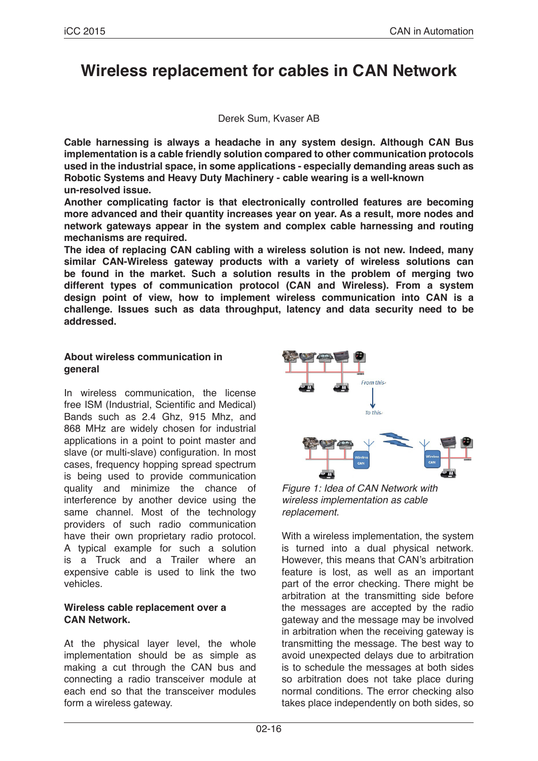# **Wireless replacement for cables in CAN Network**

#### Derek Sum, Kvaser AB

**Cable harnessing is always a headache in any system design. Although CAN Bus implementation is a cable friendly solution compared to other communication protocols used in the industrial space, in some applications - especially demanding areas such as Robotic Systems and Heavy Duty Machinery - cable wearing is a well-known un-resolved issue.**

**Another complicating factor is that electronically controlled features are becoming more advanced and their quantity increases year on year. As a result, more nodes and network gateways appear in the system and complex cable harnessing and routing mechanisms are required.**

**The idea of replacing CAN cabling with a wireless solution is not new. Indeed, many similar CAN-Wireless gateway products with a variety of wireless solutions can be found in the market. Such a solution results in the problem of merging two different types of communication protocol (CAN and Wireless). From a system design point of view, how to implement wireless communication into CAN is a challenge. Issues such as data throughput, latency and data security need to be addressed.**

#### **About wireless communication in general**

In wireless communication, the license free ISM (Industrial, Scientific and Medical) Bands such as 2.4 Ghz, 915 Mhz, and 868 MHz are widely chosen for industrial applications in a point to point master and slave (or multi-slave) configuration. In most cases, frequency hopping spread spectrum is being used to provide communication quality and minimize the chance of interference by another device using the same channel. Most of the technology providers of such radio communication have their own proprietary radio protocol. A typical example for such a solution is a Truck and a Trailer where an expensive cable is used to link the two vehicles.

#### **Wireless cable replacement over a CAN Network.**

At the physical layer level, the whole implementation should be as simple as making a cut through the CAN bus and connecting a radio transceiver module at each end so that the transceiver modules form a wireless gateway.



*Figure 1: Idea of CAN Network with wireless implementation as cable replacement.*

With a wireless implementation, the system is turned into a dual physical network. However, this means that CAN's arbitration feature is lost, as well as an important part of the error checking. There might be arbitration at the transmitting side before the messages are accepted by the radio gateway and the message may be involved in arbitration when the receiving gateway is transmitting the message. The best way to avoid unexpected delays due to arbitration is to schedule the messages at both sides so arbitration does not take place during normal conditions. The error checking also takes place independently on both sides, so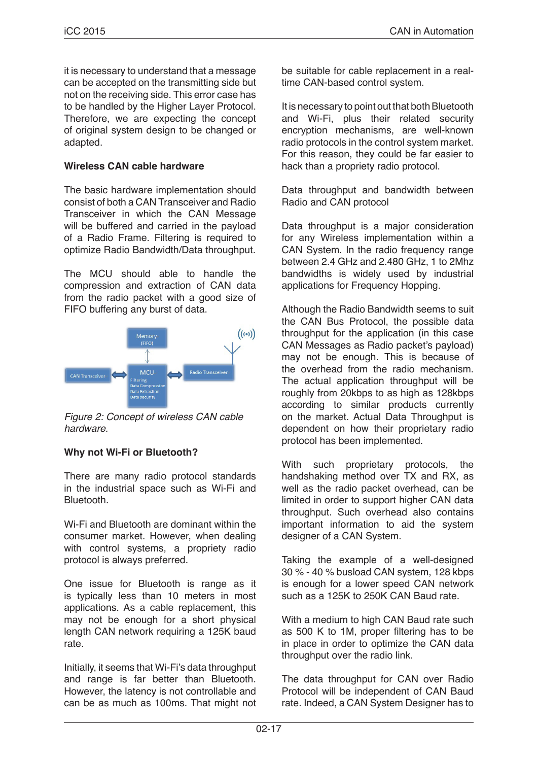it is necessary to understand that a message can be accepted on the transmitting side but not on the receiving side. This error case has to be handled by the Higher Layer Protocol. Therefore, we are expecting the concept of original system design to be changed or adapted.

## **Wireless CAN cable hardware**

The basic hardware implementation should consist of both a CAN Transceiver and Radio Transceiver in which the CAN Message will be buffered and carried in the payload of a Radio Frame. Filtering is required to optimize Radio Bandwidth/Data throughput.

The MCU should able to handle the compression and extraction of CAN data from the radio packet with a good size of FIFO buffering any burst of data.



*Figure 2: Concept of wireless CAN cable hardware.*

## **Why not Wi-Fi or Bluetooth?**

There are many radio protocol standards in the industrial space such as Wi-Fi and Bluetooth.

Wi-Fi and Bluetooth are dominant within the consumer market. However, when dealing with control systems, a propriety radio protocol is always preferred.

One issue for Bluetooth is range as it is typically less than 10 meters in most applications. As a cable replacement, this may not be enough for a short physical length CAN network requiring a 125K baud rate.

Initially, it seems that Wi-Fi's data throughput and range is far better than Bluetooth. However, the latency is not controllable and can be as much as 100ms. That might not be suitable for cable replacement in a realtime CAN-based control system.

It is necessary to point out that both Bluetooth and Wi-Fi, plus their related security encryption mechanisms, are well-known radio protocols in the control system market. For this reason, they could be far easier to hack than a propriety radio protocol.

Data throughput and bandwidth between Radio and CAN protocol

Data throughput is a major consideration for any Wireless implementation within a CAN System. In the radio frequency range between 2.4 GHz and 2.480 GHz, 1 to 2Mhz bandwidths is widely used by industrial applications for Frequency Hopping.

Although the Radio Bandwidth seems to suit the CAN Bus Protocol, the possible data throughput for the application (in this case CAN Messages as Radio packet's payload) may not be enough. This is because of the overhead from the radio mechanism. The actual application throughput will be roughly from 20kbps to as high as 128kbps according to similar products currently on the market. Actual Data Throughput is dependent on how their proprietary radio protocol has been implemented.

With such proprietary protocols, the handshaking method over TX and RX, as well as the radio packet overhead, can be limited in order to support higher CAN data throughput. Such overhead also contains important information to aid the system designer of a CAN System.

Taking the example of a well-designed 30 % - 40 % busload CAN system, 128 kbps is enough for a lower speed CAN network such as a 125K to 250K CAN Baud rate.

With a medium to high CAN Baud rate such as 500 K to 1M, proper filtering has to be in place in order to optimize the CAN data throughput over the radio link.

The data throughput for CAN over Radio Protocol will be independent of CAN Baud rate. Indeed, a CAN System Designer has to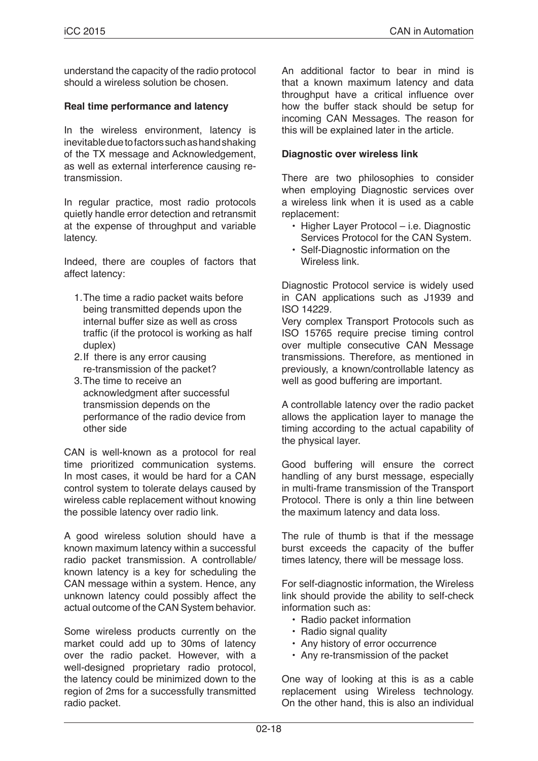understand the capacity of the radio protocol should a wireless solution be chosen.

## **Real time performance and latency**

In the wireless environment, latency is inevitable due to factors such as hand shaking of the TX message and Acknowledgement, as well as external interference causing retransmission.

In regular practice, most radio protocols quietly handle error detection and retransmit at the expense of throughput and variable latency.

Indeed, there are couples of factors that affect latency:

- 1.The time a radio packet waits before being transmitted depends upon the internal buffer size as well as cross traffic (if the protocol is working as half duplex)
- 2.If there is any error causing re-transmission of the packet?
- 3.The time to receive an acknowledgment after successful transmission depends on the performance of the radio device from other side

CAN is well-known as a protocol for real time prioritized communication systems. In most cases, it would be hard for a CAN control system to tolerate delays caused by wireless cable replacement without knowing the possible latency over radio link.

A good wireless solution should have a known maximum latency within a successful radio packet transmission. A controllable/ known latency is a key for scheduling the CAN message within a system. Hence, any unknown latency could possibly affect the actual outcome of the CAN System behavior.

Some wireless products currently on the market could add up to 30ms of latency over the radio packet. However, with a well-designed proprietary radio protocol, the latency could be minimized down to the region of 2ms for a successfully transmitted radio packet.

An additional factor to bear in mind is that a known maximum latency and data throughput have a critical influence over how the buffer stack should be setup for incoming CAN Messages. The reason for this will be explained later in the article.

#### **Diagnostic over wireless link**

There are two philosophies to consider when employing Diagnostic services over a wireless link when it is used as a cable replacement:

- Higher Layer Protocol i.e. Diagnostic Services Protocol for the CAN System.
- Self-Diagnostic information on the Wireless link.

Diagnostic Protocol service is widely used in CAN applications such as J1939 and ISO 14229.

Very complex Transport Protocols such as ISO 15765 require precise timing control over multiple consecutive CAN Message transmissions. Therefore, as mentioned in previously, a known/controllable latency as well as good buffering are important.

A controllable latency over the radio packet allows the application layer to manage the timing according to the actual capability of the physical layer.

Good buffering will ensure the correct handling of any burst message, especially in multi-frame transmission of the Transport Protocol. There is only a thin line between the maximum latency and data loss.

The rule of thumb is that if the message burst exceeds the capacity of the buffer times latency, there will be message loss.

For self-diagnostic information, the Wireless link should provide the ability to self-check information such as:

- Radio packet information
- Radio signal quality
- Any history of error occurrence
- Any re-transmission of the packet

One way of looking at this is as a cable replacement using Wireless technology. On the other hand, this is also an individual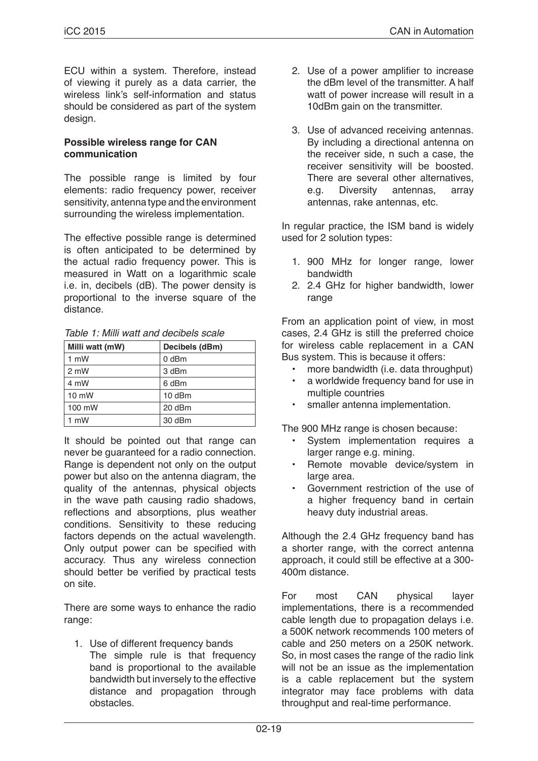ECU within a system. Therefore, instead of viewing it purely as a data carrier, the wireless link's self-information and status should be considered as part of the system design.

#### **Possible wireless range for CAN communication**

The possible range is limited by four elements: radio frequency power, receiver sensitivity, antenna type and the environment surrounding the wireless implementation.

The effective possible range is determined is often anticipated to be determined by the actual radio frequency power. This is measured in Watt on a logarithmic scale i.e. in, decibels (dB). The power density is proportional to the inverse square of the distance.

*Table 1: Milli watt and decibels scale*

| Milli watt (mW) | Decibels (dBm) |
|-----------------|----------------|
| 1 mW            | 0 dBm          |
| $2 \text{ mW}$  | 3 dBm          |
| 4 mW            | 6 dBm          |
| $10 \text{ mW}$ | 10 dBm         |
| 100 mW          | 20 dBm         |
| 1 mW            | 30 dBm         |

It should be pointed out that range can never be guaranteed for a radio connection. Range is dependent not only on the output power but also on the antenna diagram, the quality of the antennas, physical objects in the wave path causing radio shadows, reflections and absorptions, plus weather conditions. Sensitivity to these reducing factors depends on the actual wavelength. Only output power can be specified with accuracy. Thus any wireless connection should better be verified by practical tests on site.

There are some ways to enhance the radio range:

1. Use of different frequency bands The simple rule is that frequency band is proportional to the available bandwidth but inversely to the effective distance and propagation through obstacles.

- 2. Use of a power amplifier to increase the dBm level of the transmitter. A half watt of power increase will result in a 10dBm gain on the transmitter.
- 3. Use of advanced receiving antennas. By including a directional antenna on the receiver side, n such a case, the receiver sensitivity will be boosted. There are several other alternatives, e.g. Diversity antennas, array antennas, rake antennas, etc.

In regular practice, the ISM band is widely used for 2 solution types:

- 1. 900 MHz for longer range, lower bandwidth
- 2. 2.4 GHz for higher bandwidth, lower range

From an application point of view, in most cases, 2.4 GHz is still the preferred choice for wireless cable replacement in a CAN Bus system. This is because it offers:

- more bandwidth (i.e. data throughput)
- a worldwide frequency band for use in multiple countries
- smaller antenna implementation.

The 900 MHz range is chosen because:

- System implementation requires a larger range e.g. mining.
- Remote movable device/system in large area.
- Government restriction of the use of a higher frequency band in certain heavy duty industrial areas.

Although the 2.4 GHz frequency band has a shorter range, with the correct antenna approach, it could still be effective at a 300- 400m distance.

For most CAN physical layer implementations, there is a recommended cable length due to propagation delays i.e. a 500K network recommends 100 meters of cable and 250 meters on a 250K network. So, in most cases the range of the radio link will not be an issue as the implementation is a cable replacement but the system integrator may face problems with data throughput and real-time performance.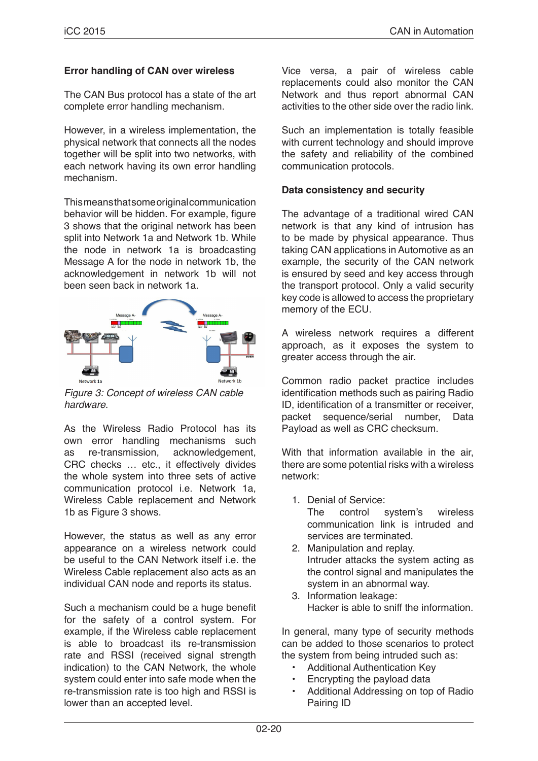## **Error handling of CAN over wireless**

The CAN Bus protocol has a state of the art complete error handling mechanism.

However, in a wireless implementation, the physical network that connects all the nodes together will be split into two networks, with each network having its own error handling mechanism.

This means that some original communication behavior will be hidden. For example, figure 3 shows that the original network has been split into Network 1a and Network 1b. While the node in network 1a is broadcasting Message A for the node in network 1b, the acknowledgement in network 1b will not been seen back in network 1a.



*Figure 3: Concept of wireless CAN cable hardware.*

As the Wireless Radio Protocol has its own error handling mechanisms such as re-transmission, acknowledgement, CRC checks … etc., it effectively divides the whole system into three sets of active communication protocol i.e. Network 1a, Wireless Cable replacement and Network 1b as Figure 3 shows.

However, the status as well as any error appearance on a wireless network could be useful to the CAN Network itself i.e. the Wireless Cable replacement also acts as an individual CAN node and reports its status.

Such a mechanism could be a huge benefit for the safety of a control system. For example, if the Wireless cable replacement is able to broadcast its re-transmission rate and RSSI (received signal strength indication) to the CAN Network, the whole system could enter into safe mode when the re-transmission rate is too high and RSSI is lower than an accepted level.

Vice versa, a pair of wireless cable replacements could also monitor the CAN Network and thus report abnormal CAN activities to the other side over the radio link.

Such an implementation is totally feasible with current technology and should improve the safety and reliability of the combined communication protocols.

## **Data consistency and security**

The advantage of a traditional wired CAN network is that any kind of intrusion has to be made by physical appearance. Thus taking CAN applications in Automotive as an example, the security of the CAN network is ensured by seed and key access through the transport protocol. Only a valid security key code is allowed to access the proprietary memory of the ECU.

A wireless network requires a different approach, as it exposes the system to greater access through the air.

Common radio packet practice includes identification methods such as pairing Radio ID, identification of a transmitter or receiver, packet sequence/serial number, Data Payload as well as CRC checksum.

With that information available in the air. there are some potential risks with a wireless network:

1. Denial of Service:

The control system's wireless communication link is intruded and services are terminated.

- 2. Manipulation and replay. Intruder attacks the system acting as the control signal and manipulates the system in an abnormal way.
- 3. Information leakage: Hacker is able to sniff the information.

In general, many type of security methods can be added to those scenarios to protect the system from being intruded such as:

- Additional Authentication Key
- Encrypting the payload data
- Additional Addressing on top of Radio Pairing ID